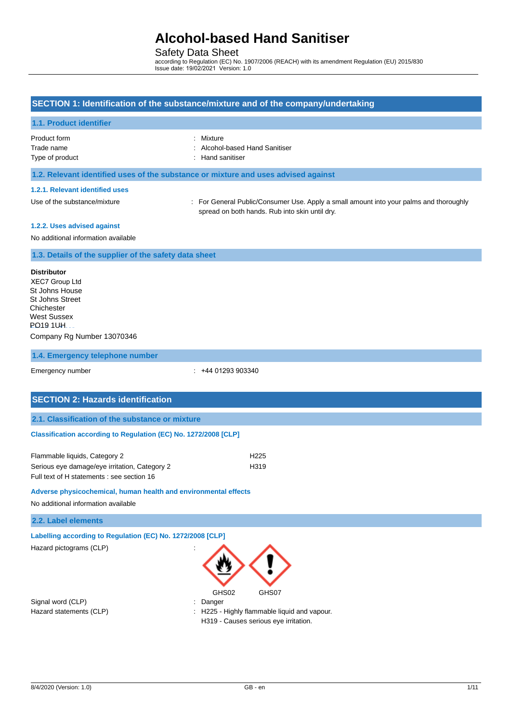### Safety Data Sheet

according to Regulation (EC) No. 1907/2006 (REACH) with its amendment Regulation (EU) 2015/830 Issue date: 19/02/2021 Version: 1.0

### **SECTION 1: Identification of the substance/mixture and of the company/undertaking**

### **1.1. Product identifier**

Product form

| Mixture |
|---------|
|         |

| Trade name | : Alcohol-based Hand Sanitiser |
|------------|--------------------------------|
|            |                                |

Type of product in the same of the state of the state of the state of the state of the state of the state of the state of the state of the state of the state of the state of the state of the state of the state of the state

#### **1.2. Relevant identified uses of the substance or mixture and uses advised against**

#### **1.2.1. Relevant identified uses**

Use of the substance/mixture : For General Public/Consumer Use. Apply a small amount into your palms and thoroughly spread on both hands. Rub into skin until dry.

#### **1.2.2. Uses advised against**

No additional information available

#### **1.3. Details of the supplier of the safety data sheet**

#### **Distributor**

XEC7 Group Ltd St Johns House St Johns Street Chichester West Sussex  $\mathbf{F}$  PO19 1UH [Company Rg Number 13070346](http://www.protecta.services/%20%5bprotecta.services%5d)

#### **1.4. Emergency telephone number**

Emergency number : +44 01293 903340

| <b>SECTION 2: Hazards identification</b>                        |
|-----------------------------------------------------------------|
| 2.1. Classification of the substance or mixture                 |
| Classification according to Regulation (EC) No. 1272/2008 [CLP] |
|                                                                 |

| Flammable liquids, Category 2                 | H <sub>225</sub> |
|-----------------------------------------------|------------------|
| Serious eye damage/eye irritation, Category 2 | H <sub>319</sub> |
| Full text of H statements : see section 16    |                  |

#### **Adverse physicochemical, human health and environmental effects**

No additional information available

### **2.2. Label elements**

**Labelling according to Regulation (EC) No. 1272/2008 [CLP]**

Hazard pictograms (CLP)

Signal word (CLP) : Danger



Hazard statements (CLP)  $\qquad \qquad$  : H225 - Highly flammable liquid and vapour.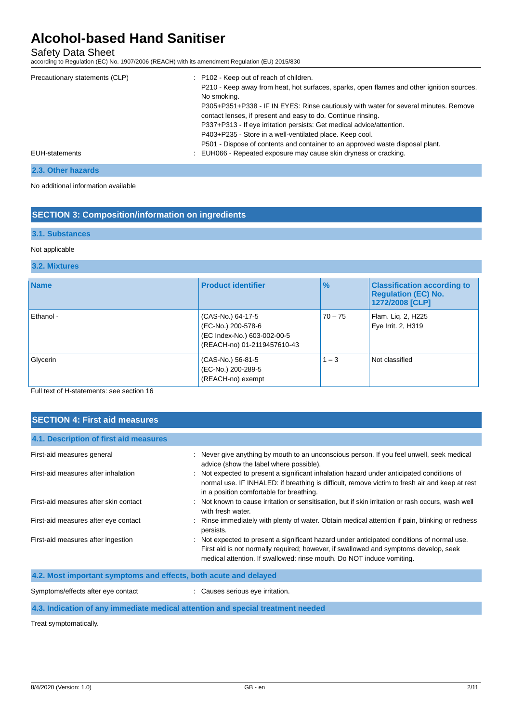Safety Data Sheet

according to Regulation (EC) No. 1907/2006 (REACH) with its amendment Regulation (EU) 2015/830

| Precautionary statements (CLP) | : P102 - Keep out of reach of children.                                                   |
|--------------------------------|-------------------------------------------------------------------------------------------|
|                                | P210 - Keep away from heat, hot surfaces, sparks, open flames and other ignition sources. |
|                                | No smoking.                                                                               |
|                                | P305+P351+P338 - IF IN EYES: Rinse cautiously with water for several minutes. Remove      |
|                                | contact lenses, if present and easy to do. Continue rinsing.                              |
|                                | P337+P313 - If eye irritation persists: Get medical advice/attention.                     |
|                                | P403+P235 - Store in a well-ventilated place. Keep cool.                                  |
|                                | P501 - Dispose of contents and container to an approved waste disposal plant.             |
| EUH-statements                 | : EUH066 - Repeated exposure may cause skin dryness or cracking.                          |
|                                |                                                                                           |

### **2.3. Other hazards**

No additional information available

### **SECTION 3: Composition/information on ingredients**

#### **3.1. Substances**

#### Not applicable

#### **3.2. Mixtures**

| <b>Name</b> | <b>Product identifier</b>                                                                             | $\frac{9}{6}$ | <b>Classification according to</b><br><b>Regulation (EC) No.</b><br>1272/2008 [CLP] |
|-------------|-------------------------------------------------------------------------------------------------------|---------------|-------------------------------------------------------------------------------------|
| Ethanol -   | (CAS-No.) 64-17-5<br>(EC-No.) 200-578-6<br>(EC Index-No.) 603-002-00-5<br>(REACH-no) 01-2119457610-43 | $70 - 75$     | Flam. Lig. 2, H225<br>Eye Irrit. 2, H319                                            |
| Glycerin    | (CAS-No.) 56-81-5<br>(EC-No.) 200-289-5<br>(REACH-no) exempt                                          | $1 - 3$       | Not classified                                                                      |

Full text of H-statements: see section 16

# **SECTION 4: First aid measures 4.1. Description of first aid measures** First-aid measures general : Never give anything by mouth to an unconscious person. If you feel unwell, seek medical advice (show the label where possible). First-aid measures after inhalation : Not expected to present a significant inhalation hazard under anticipated conditions of normal use. IF INHALED: if breathing is difficult, remove victim to fresh air and keep at rest in a position comfortable for breathing. First-aid measures after skin contact : Not known to cause irritation or sensitisation, but if skin irritation or rash occurs, wash well with fresh water. First-aid measures after eye contact : Rinse immediately with plenty of water. Obtain medical attention if pain, blinking or redness persists. First-aid measures after ingestion : Not expected to present a significant hazard under anticipated conditions of normal use. First aid is not normally required; however, if swallowed and symptoms develop, seek medical attention. If swallowed: rinse mouth. Do NOT induce vomiting.

| 4.2. Most important symptoms and effects, both acute and delayed                |                                  |
|---------------------------------------------------------------------------------|----------------------------------|
| Symptoms/effects after eye contact                                              | : Causes serious eye irritation. |
| 4.3. Indication of any immediate medical attention and special treatment needed |                                  |

Treat symptomatically.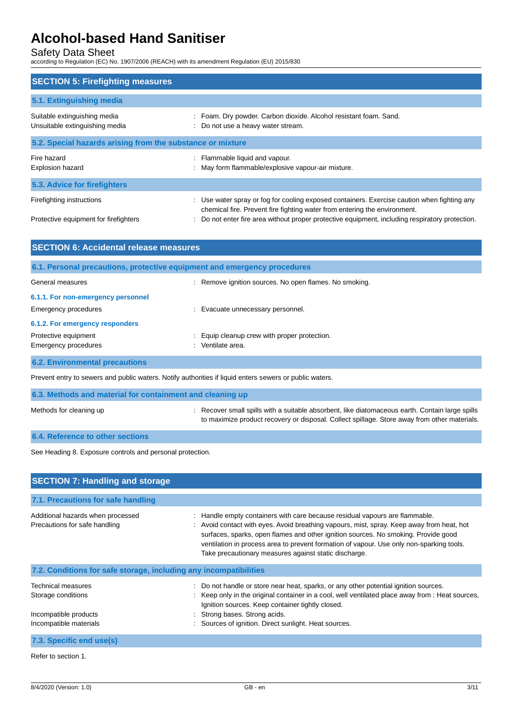Safety Data Sheet

according to Regulation (EC) No. 1907/2006 (REACH) with its amendment Regulation (EU) 2015/830

| <b>SECTION 5: Firefighting measures</b>                            |                                                                                                                                                                                                                                                                           |  |
|--------------------------------------------------------------------|---------------------------------------------------------------------------------------------------------------------------------------------------------------------------------------------------------------------------------------------------------------------------|--|
| 5.1. Extinguishing media                                           |                                                                                                                                                                                                                                                                           |  |
| Suitable extinguishing media<br>Unsuitable extinguishing media     | Foam. Dry powder. Carbon dioxide. Alcohol resistant foam. Sand.<br>Do not use a heavy water stream.                                                                                                                                                                       |  |
| 5.2. Special hazards arising from the substance or mixture         |                                                                                                                                                                                                                                                                           |  |
| Fire hazard<br><b>Explosion hazard</b>                             | : Flammable liquid and vapour.<br>May form flammable/explosive vapour-air mixture.                                                                                                                                                                                        |  |
| 5.3. Advice for firefighters                                       |                                                                                                                                                                                                                                                                           |  |
| Firefighting instructions<br>Protective equipment for firefighters | : Use water spray or fog for cooling exposed containers. Exercise caution when fighting any<br>chemical fire. Prevent fire fighting water from entering the environment.<br>Do not enter fire area without proper protective equipment, including respiratory protection. |  |

| <b>SECTION 6: Accidental release measures</b> |                                                                          |
|-----------------------------------------------|--------------------------------------------------------------------------|
|                                               | 6.1. Personal precautions, protective equipment and emergency procedures |
| General measures                              | : Remove ignition sources. No open flames. No smoking.                   |
| 6.1.1. For non-emergency personnel            |                                                                          |
| Emergency procedures                          | : Evacuate unnecessary personnel.                                        |
| 6.1.2. For emergency responders               |                                                                          |
| Protective equipment                          | : Equip cleanup crew with proper protection.                             |
| Emergency procedures                          | Ventilate area.                                                          |
| <b>6.2. Environmental precautions</b>         |                                                                          |

Prevent entry to sewers and public waters. Notify authorities if liquid enters sewers or public waters.

| 6.3. Methods and material for containment and cleaning up |                                                                                                                                                                                                 |
|-----------------------------------------------------------|-------------------------------------------------------------------------------------------------------------------------------------------------------------------------------------------------|
| Methods for cleaning up                                   | : Recover small spills with a suitable absorbent, like diatomaceous earth. Contain large spills<br>to maximize product recovery or disposal. Collect spillage. Store away from other materials. |
| 6.4. Reference to other sections                          |                                                                                                                                                                                                 |

See Heading 8. Exposure controls and personal protection.

| <b>SECTION 7: Handling and storage</b>                                                      |                                                                                                                                                                                                                                                                                                                                                                                                                     |  |
|---------------------------------------------------------------------------------------------|---------------------------------------------------------------------------------------------------------------------------------------------------------------------------------------------------------------------------------------------------------------------------------------------------------------------------------------------------------------------------------------------------------------------|--|
| 7.1. Precautions for safe handling                                                          |                                                                                                                                                                                                                                                                                                                                                                                                                     |  |
| Additional hazards when processed<br>Precautions for safe handling                          | : Handle empty containers with care because residual vapours are flammable.<br>: Avoid contact with eyes. Avoid breathing vapours, mist, spray. Keep away from heat, hot<br>surfaces, sparks, open flames and other ignition sources. No smoking. Provide good<br>ventilation in process area to prevent formation of vapour. Use only non-sparking tools.<br>Take precautionary measures against static discharge. |  |
| 7.2. Conditions for safe storage, including any incompatibilities                           |                                                                                                                                                                                                                                                                                                                                                                                                                     |  |
| Technical measures<br>Storage conditions<br>Incompatible products<br>Incompatible materials | : Do not handle or store near heat, sparks, or any other potential ignition sources.<br>: Keep only in the original container in a cool, well ventilated place away from : Heat sources,<br>Ignition sources. Keep container tightly closed.<br>: Strong bases. Strong acids.<br>: Sources of ignition. Direct sunlight. Heat sources.                                                                              |  |
| 7.3. Specific end use(s)                                                                    |                                                                                                                                                                                                                                                                                                                                                                                                                     |  |

Refer to section 1.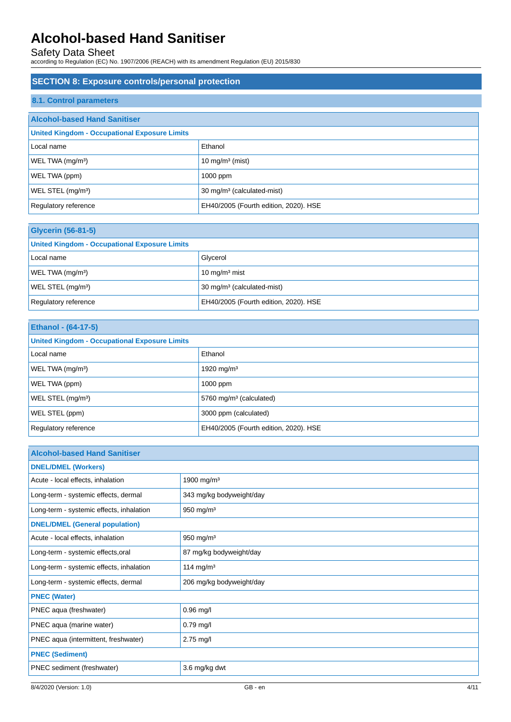Safety Data Sheet

according to Regulation (EC) No. 1907/2006 (REACH) with its amendment Regulation (EU) 2015/830

# **SECTION 8: Exposure controls/personal protection 8.1. Control parameters Alcohol-based Hand Sanitiser United Kingdom - Occupational Exposure Limits** Local name **Ethanol** WEL TWA  $(mg/m<sup>3</sup>)$  10 mg/m<sup>3</sup> (mist) WEL TWA (ppm) 1000 ppm WEL STEL (mg/m<sup>3</sup>) 30 mg/m<sup>3</sup> (calculated-mist) Regulatory reference **EH40/2005** (Fourth edition, 2020). HSE

| <b>Glycerin (56-81-5)</b>                            |                                        |  |
|------------------------------------------------------|----------------------------------------|--|
| <b>United Kingdom - Occupational Exposure Limits</b> |                                        |  |
| Local name                                           | Glycerol                               |  |
| WEL TWA (mq/m <sup>3</sup> )                         | 10 $mq/m3$ mist                        |  |
| WEL STEL (mg/m <sup>3</sup> )                        | 30 mg/m <sup>3</sup> (calculated-mist) |  |
| Regulatory reference                                 | EH40/2005 (Fourth edition, 2020). HSE  |  |

| Ethanol - (64-17-5)                                  |                                       |
|------------------------------------------------------|---------------------------------------|
| <b>United Kingdom - Occupational Exposure Limits</b> |                                       |
| Local name                                           | Ethanol                               |
| WEL TWA (mg/m <sup>3</sup> )                         | 1920 mg/m <sup>3</sup>                |
| WEL TWA (ppm)                                        | 1000 ppm                              |
| WEL STEL (mg/m <sup>3</sup> )                        | 5760 mg/m <sup>3</sup> (calculated)   |
| WEL STEL (ppm)                                       | 3000 ppm (calculated)                 |
| Regulatory reference                                 | EH40/2005 (Fourth edition, 2020). HSE |

| <b>Alcohol-based Hand Sanitiser</b>      |                          |  |
|------------------------------------------|--------------------------|--|
| <b>DNEL/DMEL (Workers)</b>               |                          |  |
| Acute - local effects, inhalation        | 1900 mg/m <sup>3</sup>   |  |
| Long-term - systemic effects, dermal     | 343 mg/kg bodyweight/day |  |
| Long-term - systemic effects, inhalation | 950 mg/m $3$             |  |
| <b>DNEL/DMEL (General population)</b>    |                          |  |
| Acute - local effects, inhalation        | 950 mg/m <sup>3</sup>    |  |
| Long-term - systemic effects, oral       | 87 mg/kg bodyweight/day  |  |
| Long-term - systemic effects, inhalation | 114 mg/m <sup>3</sup>    |  |
| Long-term - systemic effects, dermal     | 206 mg/kg bodyweight/day |  |
| <b>PNEC (Water)</b>                      |                          |  |
| PNEC aqua (freshwater)                   | $0.96$ mg/l              |  |
| PNEC aqua (marine water)                 | $0.79$ mg/l              |  |
| PNEC aqua (intermittent, freshwater)     | $2.75$ mg/l              |  |
| <b>PNEC (Sediment)</b>                   |                          |  |
| PNEC sediment (freshwater)               | 3.6 mg/kg dwt            |  |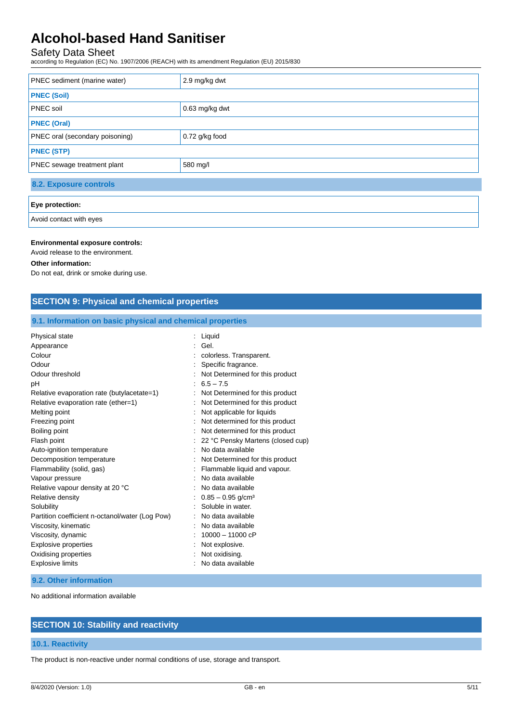## Safety Data Sheet

according to Regulation (EC) No. 1907/2006 (REACH) with its amendment Regulation (EU) 2015/830

| <b>PNEC</b> sediment (marine water)    | 2.9 mg/kg dwt  |  |
|----------------------------------------|----------------|--|
| <b>PNEC (Soil)</b>                     |                |  |
| <b>PNEC</b> soil                       | 0.63 mg/kg dwt |  |
| <b>PNEC (Oral)</b>                     |                |  |
| <b>PNEC oral (secondary poisoning)</b> | 0.72 g/kg food |  |
| <b>PNEC (STP)</b>                      |                |  |
| <b>PNEC</b> sewage treatment plant     | 580 mg/l       |  |
| 8.2. Exposure controls                 |                |  |
| Eye protection:                        |                |  |

Avoid contact with eyes

#### **Environmental exposure controls:**

Avoid release to the environment.

#### **Other information:**

Do not eat, drink or smoke during use.

| <b>SECTION 9: Physical and chemical properties</b>                                                                                                                                                                                                                                                                                                                                                                                                                                          |                                                                                                                                                                                                                                                                                                                                                                                                                                                                                                                                                                         |  |
|---------------------------------------------------------------------------------------------------------------------------------------------------------------------------------------------------------------------------------------------------------------------------------------------------------------------------------------------------------------------------------------------------------------------------------------------------------------------------------------------|-------------------------------------------------------------------------------------------------------------------------------------------------------------------------------------------------------------------------------------------------------------------------------------------------------------------------------------------------------------------------------------------------------------------------------------------------------------------------------------------------------------------------------------------------------------------------|--|
| 9.1. Information on basic physical and chemical properties                                                                                                                                                                                                                                                                                                                                                                                                                                  |                                                                                                                                                                                                                                                                                                                                                                                                                                                                                                                                                                         |  |
| Physical state<br>Appearance<br>Colour<br>Odour<br>Odour threshold<br>рH<br>Relative evaporation rate (butylacetate=1)<br>Relative evaporation rate (ether=1)<br>Melting point<br>Freezing point<br>Boiling point<br>Flash point<br>Auto-ignition temperature<br>Decomposition temperature<br>Flammability (solid, gas)<br>Vapour pressure<br>Relative vapour density at 20 °C<br>Relative density<br>Solubility<br>Partition coefficient n-octanol/water (Log Pow)<br>Viscosity, kinematic | : Liquid<br>Gel.<br>colorless. Transparent.<br>Specific fragrance.<br>Not Determined for this product<br>$6.5 - 7.5$<br>Not Determined for this product<br>Not Determined for this product<br>Not applicable for liquids<br>Not determined for this product<br>Not determined for this product<br>22 °C Pensky Martens (closed cup)<br>No data available<br>Not Determined for this product<br>Flammable liquid and vapour.<br>No data available<br>No data available<br>$0.85 - 0.95$ g/cm <sup>3</sup><br>Soluble in water.<br>No data available<br>No data available |  |
| Viscosity, dynamic<br><b>Explosive properties</b><br>Oxidising properties<br><b>Explosive limits</b>                                                                                                                                                                                                                                                                                                                                                                                        | $10000 - 11000cP$<br>Not explosive.<br>Not oxidising.<br>No data available                                                                                                                                                                                                                                                                                                                                                                                                                                                                                              |  |
| 9.2. Other information                                                                                                                                                                                                                                                                                                                                                                                                                                                                      |                                                                                                                                                                                                                                                                                                                                                                                                                                                                                                                                                                         |  |

No additional information available

### **SECTION 10: Stability and reactivity**

### **10.1. Reactivity**

The product is non-reactive under normal conditions of use, storage and transport.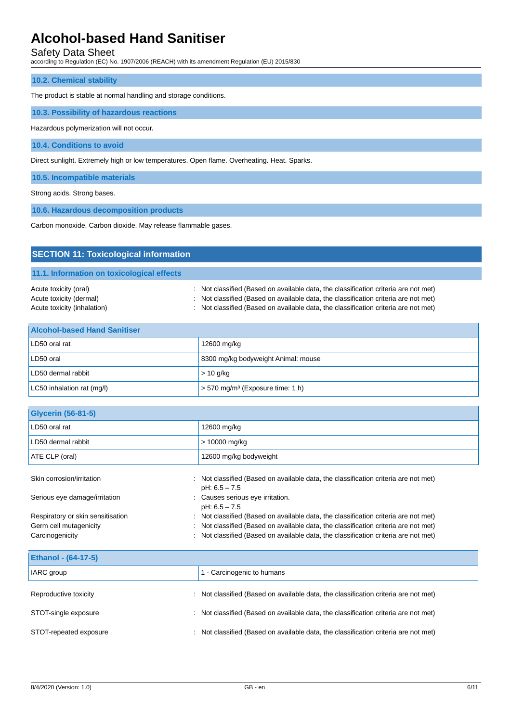Safety Data Sheet

according to Regulation (EC) No. 1907/2006 (REACH) with its amendment Regulation (EU) 2015/830

#### **10.2. Chemical stability**

The product is stable at normal handling and storage conditions.

#### **10.3. Possibility of hazardous reactions**

Hazardous polymerization will not occur.

**10.4. Conditions to avoid**

Direct sunlight. Extremely high or low temperatures. Open flame. Overheating. Heat. Sparks.

**10.5. Incompatible materials**

Strong acids. Strong bases.

**10.6. Hazardous decomposition products**

Carbon monoxide. Carbon dioxide. May release flammable gases.

| <b>SECTION 11: Toxicological information</b>                                    |                                                                                                                                                                                                                                                                   |
|---------------------------------------------------------------------------------|-------------------------------------------------------------------------------------------------------------------------------------------------------------------------------------------------------------------------------------------------------------------|
| 11.1. Information on toxicological effects                                      |                                                                                                                                                                                                                                                                   |
| Acute toxicity (oral)<br>Acute toxicity (dermal)<br>Acute toxicity (inhalation) | : Not classified (Based on available data, the classification criteria are not met)<br>: Not classified (Based on available data, the classification criteria are not met)<br>: Not classified (Based on available data, the classification criteria are not met) |

| <b>Alcohol-based Hand Sanitiser</b> |                                                |
|-------------------------------------|------------------------------------------------|
| LD50 oral rat                       | 12600 mg/kg                                    |
| LD50 oral                           | 8300 mg/kg bodyweight Animal: mouse            |
| LD50 dermal rabbit                  | $> 10$ g/kg                                    |
| LC50 inhalation rat (mg/l)          | $>$ 570 mg/m <sup>3</sup> (Exposure time: 1 h) |

| <b>Glycerin (56-81-5)</b>         |                                                                                                        |
|-----------------------------------|--------------------------------------------------------------------------------------------------------|
| LD50 oral rat                     | 12600 mg/kg                                                                                            |
| LD50 dermal rabbit                | > 10000 mg/kg                                                                                          |
| ATE CLP (oral)                    | 12600 mg/kg bodyweight                                                                                 |
| Skin corrosion/irritation         | : Not classified (Based on available data, the classification criteria are not met)<br>$pH: 6.5 - 7.5$ |
| Serious eye damage/irritation     | : Causes serious eye irritation.<br>$pH: 6.5 - 7.5$                                                    |
| Respiratory or skin sensitisation | : Not classified (Based on available data, the classification criteria are not met)                    |
| Germ cell mutagenicity            | : Not classified (Based on available data, the classification criteria are not met)                    |
| Carcinogenicity                   | : Not classified (Based on available data, the classification criteria are not met)                    |

| <b>Ethanol - (64-17-5)</b> |                                                                                     |
|----------------------------|-------------------------------------------------------------------------------------|
| <b>IARC</b> group          | 1 - Carcinogenic to humans                                                          |
| Reproductive toxicity      | : Not classified (Based on available data, the classification criteria are not met) |
| STOT-single exposure       | Not classified (Based on available data, the classification criteria are not met)   |
| STOT-repeated exposure     | Not classified (Based on available data, the classification criteria are not met)   |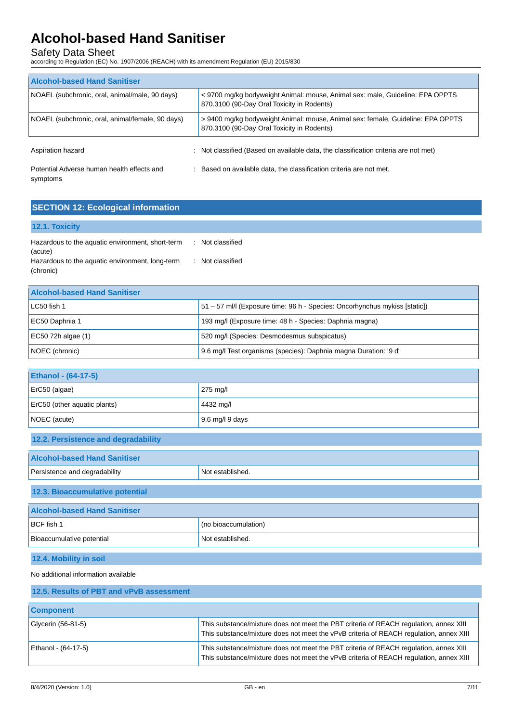Safety Data Sheet

according to Regulation (EC) No. 1907/2006 (REACH) with its amendment Regulation (EU) 2015/830

| <b>Alcohol-based Hand Sanitiser</b>                    |                                                                                                                               |  |
|--------------------------------------------------------|-------------------------------------------------------------------------------------------------------------------------------|--|
| NOAEL (subchronic, oral, animal/male, 90 days)         | < 9700 mg/kg bodyweight Animal: mouse, Animal sex: male, Guideline: EPA OPPTS<br>870.3100 (90-Day Oral Toxicity in Rodents)   |  |
| NOAEL (subchronic, oral, animal/female, 90 days)       | > 9400 mg/kg bodyweight Animal: mouse, Animal sex: female, Guideline: EPA OPPTS<br>870.3100 (90-Day Oral Toxicity in Rodents) |  |
| Aspiration hazard<br>÷                                 | Not classified (Based on available data, the classification criteria are not met)                                             |  |
| Potential Adverse human health effects and<br>symptoms | : Based on available data, the classification criteria are not met.                                                           |  |

| <b>SECTION 12: Ecological information</b>                    |                  |
|--------------------------------------------------------------|------------------|
| <b>12.1. Toxicity</b>                                        |                  |
| Hazardous to the aquatic environment, short-term<br>(acute)  | : Not classified |
| Hazardous to the aquatic environment, long-term<br>(chronic) | : Not classified |

| <b>Alcohol-based Hand Sanitiser</b> |                                                                            |
|-------------------------------------|----------------------------------------------------------------------------|
| LC50 fish 1                         | 51 – 57 ml/l (Exposure time: 96 h - Species: Oncorhynchus mykiss [static]) |
| EC50 Daphnia 1                      | 193 mg/l (Exposure time: 48 h - Species: Daphnia magna)                    |
| EC50 72h algae (1)                  | 520 mg/l (Species: Desmodesmus subspicatus)                                |
| NOEC (chronic)                      | 9.6 mg/l Test organisms (species): Daphnia magna Duration: '9 d'           |

| <b>Ethanol - (64-17-5)</b>   |                         |
|------------------------------|-------------------------|
| $ECC50$ (algae)              | $275 \text{ mq/l}$      |
| ErC50 (other aquatic plants) | 4432 mg/l               |
| NOEC (acute)                 | $\vert$ 9.6 mg/l 9 days |

### **12.2. Persistence and degradability**

| <b>Alcohol-based Hand Sanitiser</b> |                      |  |
|-------------------------------------|----------------------|--|
| Persistence and degradability       | Not established.     |  |
| 12.3. Bioaccumulative potential     |                      |  |
| <b>Alcohol-based Hand Sanitiser</b> |                      |  |
| BCF fish 1                          | (no bioaccumulation) |  |
| Bioaccumulative potential           | Not established.     |  |

### **12.4. Mobility in soil**

No additional information available

| 12.5. Results of PBT and vPvB assessment |                                                                                                                                                                                 |  |
|------------------------------------------|---------------------------------------------------------------------------------------------------------------------------------------------------------------------------------|--|
| <b>Component</b>                         |                                                                                                                                                                                 |  |
| Glycerin (56-81-5)                       | This substance/mixture does not meet the PBT criteria of REACH regulation, annex XIII<br>This substance/mixture does not meet the vPvB criteria of REACH regulation, annex XIII |  |
| Ethanol - (64-17-5)                      | This substance/mixture does not meet the PBT criteria of REACH regulation, annex XIII<br>This substance/mixture does not meet the vPvB criteria of REACH regulation, annex XIII |  |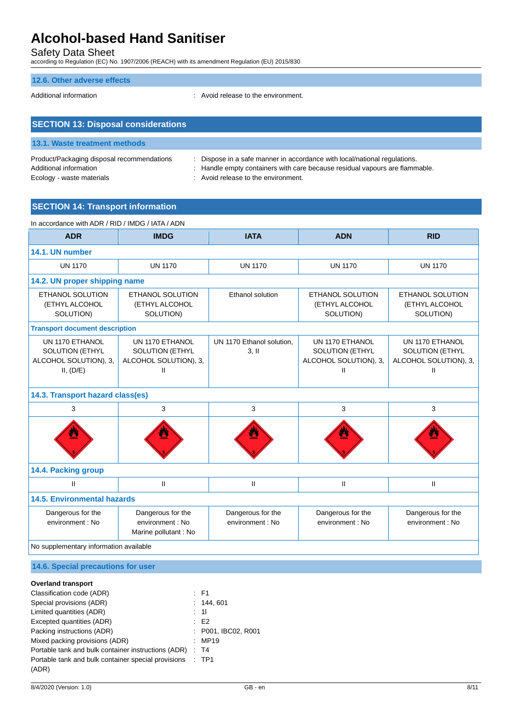Safety Data Sheet

according to Regulation (EC) No. 1907/2006 (REACH) with its amendment Regulation (EU) 2015/830

#### **12.6. Other adverse effects**

Additional information **interest in the environment** of the environment.

| <b>SECTION 13: Disposal considerations</b>                           |                                                                                                                                                          |  |
|----------------------------------------------------------------------|----------------------------------------------------------------------------------------------------------------------------------------------------------|--|
| 13.1. Waste treatment methods                                        |                                                                                                                                                          |  |
| Product/Packaging disposal recommendations<br>Additional information | : Dispose in a safe manner in accordance with local/national regulations.<br>: Handle empty containers with care because residual vapours are flammable. |  |

Ecology - waste materials **Ecology** - waste materials **interval** : Avoid release to the environment.

### **SECTION 14: Transport information**

| In accordance with ADR / RID / IMDG / IATA / ADN                                |                                                                         |                                       |                                                                         |                                                                             |
|---------------------------------------------------------------------------------|-------------------------------------------------------------------------|---------------------------------------|-------------------------------------------------------------------------|-----------------------------------------------------------------------------|
| <b>ADR</b>                                                                      | <b>IMDG</b>                                                             | <b>IATA</b>                           | <b>ADN</b>                                                              | <b>RID</b>                                                                  |
| 14.1. UN number                                                                 |                                                                         |                                       |                                                                         |                                                                             |
| <b>UN 1170</b>                                                                  | <b>UN 1170</b>                                                          | <b>UN 1170</b>                        | <b>UN 1170</b>                                                          | <b>UN 1170</b>                                                              |
| 14.2. UN proper shipping name                                                   |                                                                         |                                       |                                                                         |                                                                             |
| <b>ETHANOL SOLUTION</b><br>(ETHYL ALCOHOL<br>SOLUTION)                          | <b>ETHANOL SOLUTION</b><br>(ETHYL ALCOHOL<br>SOLUTION)                  | <b>Ethanol solution</b>               | ETHANOL SOLUTION<br>(ETHYL ALCOHOL<br>SOLUTION)                         | <b>ETHANOL SOLUTION</b><br>(ETHYL ALCOHOL<br>SOLUTION)                      |
| <b>Transport document description</b>                                           |                                                                         |                                       |                                                                         |                                                                             |
| UN 1170 ETHANOL<br><b>SOLUTION (ETHYL</b><br>ALCOHOL SOLUTION), 3,<br>II, (D/E) | UN 1170 ETHANOL<br><b>SOLUTION (ETHYL</b><br>ALCOHOL SOLUTION), 3,<br>Ш | UN 1170 Ethanol solution,<br>3.11     | UN 1170 ETHANOL<br><b>SOLUTION (ETHYL</b><br>ALCOHOL SOLUTION), 3,<br>Ш | UN 1170 ETHANOL<br>SOLUTION (ETHYL<br>ALCOHOL SOLUTION), 3,<br>$\mathsf{I}$ |
| 14.3. Transport hazard class(es)                                                |                                                                         |                                       |                                                                         |                                                                             |
| 3                                                                               | 3                                                                       | 3                                     | 3                                                                       | 3                                                                           |
|                                                                                 |                                                                         |                                       |                                                                         |                                                                             |
| 14.4. Packing group                                                             |                                                                         |                                       |                                                                         |                                                                             |
| Ш                                                                               | $\mathbf{II}$                                                           | $\mathsf{II}$                         | $\mathbf{H}$                                                            | Ш                                                                           |
| <b>14.5. Environmental hazards</b>                                              |                                                                         |                                       |                                                                         |                                                                             |
| Dangerous for the<br>environment : No                                           | Dangerous for the<br>environment : No<br>Marine pollutant : No          | Dangerous for the<br>environment : No | Dangerous for the<br>environment: No                                    | Dangerous for the<br>environment : No                                       |
| No supplementary information available                                          |                                                                         |                                       |                                                                         |                                                                             |

### **14.6. Special precautions for user**

#### **Overland transport**

| $E = F1$            |
|---------------------|
| : 144,601           |
| : 11                |
| E2                  |
| : P001, IBC02, R001 |
| : MP19              |
| : T4                |
| : TP1               |
|                     |
|                     |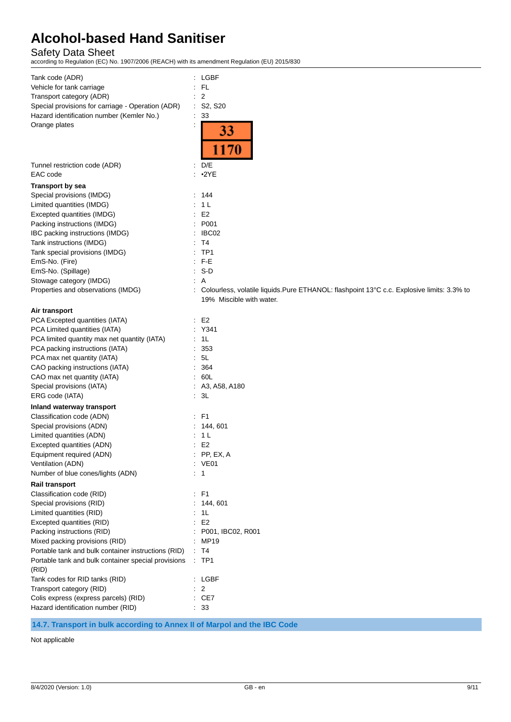### Safety Data Sheet

according to Regulation (EC) No. 1907/2006 (REACH) with its amendment Regulation (EU) 2015/830

| Tank code (ADR)                                     | $:$ LGBF                                                                                   |
|-----------------------------------------------------|--------------------------------------------------------------------------------------------|
| Vehicle for tank carriage                           | -FL                                                                                        |
| Transport category (ADR)                            | 2                                                                                          |
| Special provisions for carriage - Operation (ADR)   | $:$ S2, S20                                                                                |
| Hazard identification number (Kemler No.)           | $\therefore$ 33                                                                            |
| Orange plates                                       | 33<br>1170                                                                                 |
|                                                     |                                                                                            |
| Tunnel restriction code (ADR)                       | D/E<br>÷                                                                                   |
| EAC code                                            | $\cdot$ 2YE                                                                                |
| <b>Transport by sea</b>                             |                                                                                            |
| Special provisions (IMDG)                           | 144<br>÷                                                                                   |
| Limited quantities (IMDG)                           | 1 L                                                                                        |
| Excepted quantities (IMDG)                          | E <sub>2</sub>                                                                             |
| Packing instructions (IMDG)                         | P001                                                                                       |
| IBC packing instructions (IMDG)                     | IBC02                                                                                      |
| Tank instructions (IMDG)                            | T4                                                                                         |
| Tank special provisions (IMDG)                      | TP <sub>1</sub>                                                                            |
| EmS-No. (Fire)                                      | F-E                                                                                        |
| EmS-No. (Spillage)                                  | $S-D$                                                                                      |
| Stowage category (IMDG)                             | Α                                                                                          |
| Properties and observations (IMDG)                  | Colourless, volatile liquids. Pure ETHANOL: flashpoint 13°C c.c. Explosive limits: 3.3% to |
|                                                     | 19% Miscible with water.                                                                   |
|                                                     |                                                                                            |
| Air transport                                       |                                                                                            |
| PCA Excepted quantities (IATA)                      | E2                                                                                         |
| PCA Limited quantities (IATA)                       | Y341                                                                                       |
| PCA limited quantity max net quantity (IATA)        | 1L                                                                                         |
| PCA packing instructions (IATA)                     | 353                                                                                        |
| PCA max net quantity (IATA)                         | 5L                                                                                         |
| CAO packing instructions (IATA)                     | 364<br>$\ddot{\phantom{a}}$                                                                |
| CAO max net quantity (IATA)                         | 60L                                                                                        |
| Special provisions (IATA)                           | : A3, A58, A180                                                                            |
| ERG code (IATA)                                     | : 3L                                                                                       |
| Inland waterway transport                           |                                                                                            |
| Classification code (ADN)                           | F1                                                                                         |
| Special provisions (ADN)                            | 144, 601                                                                                   |
| Limited quantities (ADN)                            | 1 <sub>L</sub>                                                                             |
| Excepted quantities (ADN)                           | E <sub>2</sub>                                                                             |
| Equipment required (ADN)                            | PP, EX, A                                                                                  |
| Ventilation (ADN)                                   | : VE01                                                                                     |
| Number of blue cones/lights (ADN)                   | : 1                                                                                        |
|                                                     |                                                                                            |
| Rail transport                                      |                                                                                            |
| Classification code (RID)                           | $:$ F1                                                                                     |
| Special provisions (RID)                            | 144, 601                                                                                   |
| Limited quantities (RID)                            | 1L                                                                                         |
| Excepted quantities (RID)                           | E <sub>2</sub>                                                                             |
| Packing instructions (RID)                          | P001, IBC02, R001                                                                          |
| Mixed packing provisions (RID)                      | MP19                                                                                       |
| Portable tank and bulk container instructions (RID) | : T4                                                                                       |
| Portable tank and bulk container special provisions | $:$ TP1                                                                                    |
| (RID)                                               |                                                                                            |
| Tank codes for RID tanks (RID)                      | : LGBF                                                                                     |
| Transport category (RID)                            | $\overline{2}$                                                                             |
| Colis express (express parcels) (RID)               | CE7                                                                                        |
| Hazard identification number (RID)                  | : 33                                                                                       |

**14.7. Transport in bulk according to Annex II of Marpol and the IBC Code**

Not applicable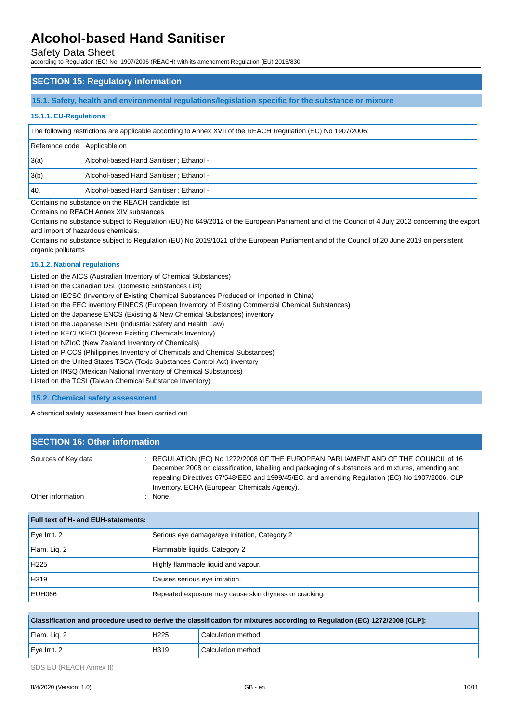Safety Data Sheet

according to Regulation (EC) No. 1907/2006 (REACH) with its amendment Regulation (EU) 2015/830

### **SECTION 15: Regulatory information**

#### **15.1. Safety, health and environmental regulations/legislation specific for the substance or mixture**

#### **15.1.1. EU-Regulations**

| The following restrictions are applicable according to Annex XVII of the REACH Regulation (EC) No 1907/2006: |                                          |  |
|--------------------------------------------------------------------------------------------------------------|------------------------------------------|--|
| Reference code   Applicable on                                                                               |                                          |  |
| 3(a)                                                                                                         | Alcohol-based Hand Sanitiser ; Ethanol - |  |
| 3(b)                                                                                                         | Alcohol-based Hand Sanitiser ; Ethanol - |  |
| 40.                                                                                                          | Alcohol-based Hand Sanitiser ; Ethanol - |  |

Contains no substance on the REACH candidate list

Contains no REACH Annex XIV substances

Contains no substance subject to Regulation (EU) No 649/2012 of the European Parliament and of the Council of 4 July 2012 concerning the export and import of hazardous chemicals.

Contains no substance subject to Regulation (EU) No 2019/1021 of the European Parliament and of the Council of 20 June 2019 on persistent organic pollutants

#### **15.1.2. National regulations**

Listed on the AICS (Australian Inventory of Chemical Substances)

Listed on the Canadian DSL (Domestic Substances List)

Listed on IECSC (Inventory of Existing Chemical Substances Produced or Imported in China)

Listed on the EEC inventory EINECS (European Inventory of Existing Commercial Chemical Substances)

Listed on the Japanese ENCS (Existing & New Chemical Substances) inventory

Listed on the Japanese ISHL (Industrial Safety and Health Law)

Listed on KECL/KECI (Korean Existing Chemicals Inventory)

Listed on NZIoC (New Zealand Inventory of Chemicals)

Listed on PICCS (Philippines Inventory of Chemicals and Chemical Substances)

Listed on the United States TSCA (Toxic Substances Control Act) inventory

Listed on INSQ (Mexican National Inventory of Chemical Substances)

Listed on the TCSI (Taiwan Chemical Substance Inventory)

**15.2. Chemical safety assessment**

A chemical safety assessment has been carried out

| <b>SECTION 16: Other information</b> |                                                                                                                                                                                                                                                                                                                                           |  |  |
|--------------------------------------|-------------------------------------------------------------------------------------------------------------------------------------------------------------------------------------------------------------------------------------------------------------------------------------------------------------------------------------------|--|--|
| Sources of Key data                  | : REGULATION (EC) No 1272/2008 OF THE EUROPEAN PARLIAMENT AND OF THE COUNCIL of 16<br>December 2008 on classification, labelling and packaging of substances and mixtures, amending and<br>repealing Directives 67/548/EEC and 1999/45/EC, and amending Regulation (EC) No 1907/2006. CLP<br>Inventory. ECHA (European Chemicals Agency). |  |  |
| Other information                    | : None.                                                                                                                                                                                                                                                                                                                                   |  |  |

# **Full text of H- and EUH-statements:** Eye Irrit. 2 Serious eye damage/eye irritation, Category 2 Flam. Liq. 2 Flammable liquids, Category 2 H225 **Highly flammable liquid and vapour.** H319 Causes serious eye irritation. EUH066 Repeated exposure may cause skin dryness or cracking.

| Classification and procedure used to derive the classification for mixtures according to Regulation (EC) 1272/2008 [CLP]: |                  |                    |  |
|---------------------------------------------------------------------------------------------------------------------------|------------------|--------------------|--|
| Flam. Lig. 2                                                                                                              | H <sub>225</sub> | Calculation method |  |
| Eye Irrit. 2                                                                                                              | H319             | Calculation method |  |

SDS EU (REACH Annex II)